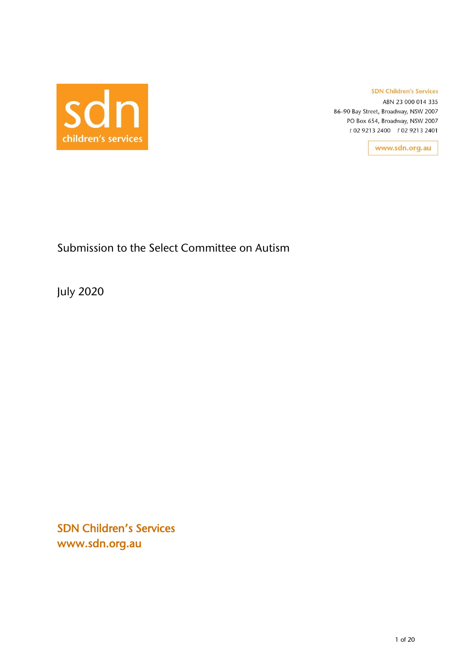

#### **SDN Children's Services**

ABN 23 000 014 335 86-90 Bay Street, Broadway, NSW 2007 PO Box 654, Broadway, NSW 2007 t 02 9213 2400 f 02 9213 2401

www.sdn.org.au

# Submission to the Select Committee on Autism

July 2020

SDN Children's Services www.sdn.org.au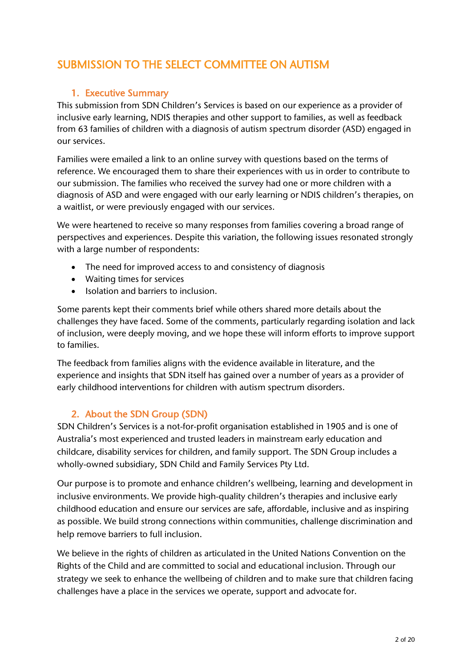# SUBMISSION TO THE SELECT COMMITTEE ON AUTISM

## 1. Executive Summary

This submission from SDN Children's Services is based on our experience as a provider of inclusive early learning, NDIS therapies and other support to families, as well as feedback from 63 families of children with a diagnosis of autism spectrum disorder (ASD) engaged in our services.

Families were emailed a link to an online survey with questions based on the terms of reference. We encouraged them to share their experiences with us in order to contribute to our submission. The families who received the survey had one or more children with a diagnosis of ASD and were engaged with our early learning or NDIS children's therapies, on a waitlist, or were previously engaged with our services.

We were heartened to receive so many responses from families covering a broad range of perspectives and experiences. Despite this variation, the following issues resonated strongly with a large number of respondents:

- The need for improved access to and consistency of diagnosis
- Waiting times for services
- Isolation and barriers to inclusion.

Some parents kept their comments brief while others shared more details about the challenges they have faced. Some of the comments, particularly regarding isolation and lack of inclusion, were deeply moving, and we hope these will inform efforts to improve support to families.

The feedback from families aligns with the evidence available in literature, and the experience and insights that SDN itself has gained over a number of years as a provider of early childhood interventions for children with autism spectrum disorders.

# 2. About the SDN Group (SDN)

SDN Children's Services is a not-for-profit organisation established in 1905 and is one of Australia's most experienced and trusted leaders in mainstream early education and childcare, disability services for children, and family support. The SDN Group includes a wholly-owned subsidiary, SDN Child and Family Services Pty Ltd.

Our purpose is to promote and enhance children's wellbeing, learning and development in inclusive environments. We provide high-quality children's therapies and inclusive early childhood education and ensure our services are safe, affordable, inclusive and as inspiring as possible. We build strong connections within communities, challenge discrimination and help remove barriers to full inclusion.

We believe in the rights of children as articulated in the United Nations Convention on the Rights of the Child and are committed to social and educational inclusion. Through our strategy we seek to enhance the wellbeing of children and to make sure that children facing challenges have a place in the services we operate, support and advocate for.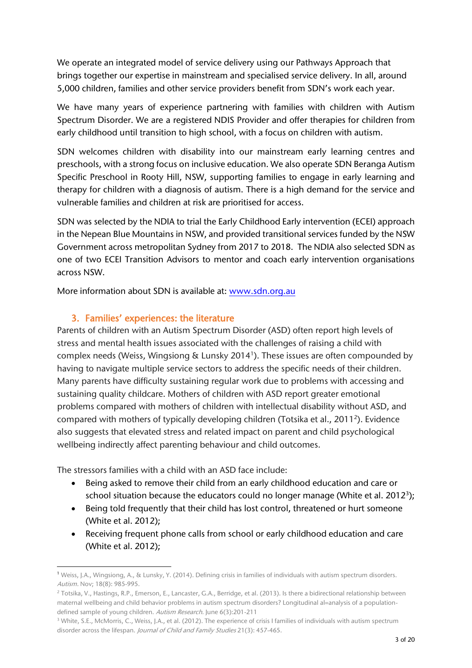We operate an integrated model of service delivery using our Pathways Approach that brings together our expertise in mainstream and specialised service delivery. In all, around 5,000 children, families and other service providers benefit from SDN's work each year.

We have many years of experience partnering with families with children with Autism Spectrum Disorder. We are a registered NDIS Provider and offer therapies for children from early childhood until transition to high school, with a focus on children with autism.

SDN welcomes children with disability into our mainstream early learning centres and preschools, with a strong focus on inclusive education. We also operate SDN Beranga Autism Specific Preschool in Rooty Hill, NSW, supporting families to engage in early learning and therapy for children with a diagnosis of autism. There is a high demand for the service and vulnerable families and children at risk are prioritised for access.

SDN was selected by the NDIA to trial the Early Childhood Early intervention (ECEI) approach in the Nepean Blue Mountains in NSW, and provided transitional services funded by the NSW Government across metropolitan Sydney from 2017 to 2018. The NDIA also selected SDN as one of two ECEI Transition Advisors to mentor and coach early intervention organisations across NSW.

More information about SDN is available at: [www.sdn.org.au](http://www.sdn.org.au/)

# 3. Families' experiences: the literature

Parents of children with an Autism Spectrum Disorder (ASD) often report high levels of stress and mental health issues associated with the challenges of raising a child with complex needs (Weiss, Wingsiong & Lunsky 2014<sup>1</sup>). These issues are often compounded by having to navigate multiple service sectors to address the specific needs of their children. Many parents have difficulty sustaining regular work due to problems with accessing and sustaining quality childcare. Mothers of children with ASD report greater emotional problems compared with mothers of children with intellectual disability without ASD, and compared with mothers of typically developing children (Totsika et al., 2011<sup>2</sup>). Evidence also suggests that elevated stress and related impact on parent and child psychological wellbeing indirectly affect parenting behaviour and child outcomes.

The stressors families with a child with an ASD face include:

- Being asked to remove their child from an early childhood education and care or school situation because the educators could no longer manage (White et al. 2012<sup>3</sup>);
- Being told frequently that their child has lost control, threatened or hurt someone (White et al. 2012);
- Receiving frequent phone calls from school or early childhood education and care (White et al. 2012);

<sup>1</sup> Weiss, J.A., Wingsiong, A., & Lunsky, Y. (2014). Defining crisis in families of individuals with autism spectrum disorders. Autism. Nov; 18(8): 985-995.

<sup>&</sup>lt;sup>2</sup> Totsika, V., Hastings, R.P., Emerson, E., Lancaster, G.A., Berridge, et al. (2013). Is there a bidirectional relationship between maternal wellbeing and child behavior problems in autism spectrum disorders? Longitudinal al=analysis of a populationdefined sample of young children. Autism Research. June 6(3):201-211

<sup>&</sup>lt;sup>3</sup> White, S.E., McMorris, C., Weiss, J.A., et al. (2012). The experience of crisis I families of individuals with autism spectrum disorder across the lifespan. Journal of Child and Family Studies 21(3): 457-465.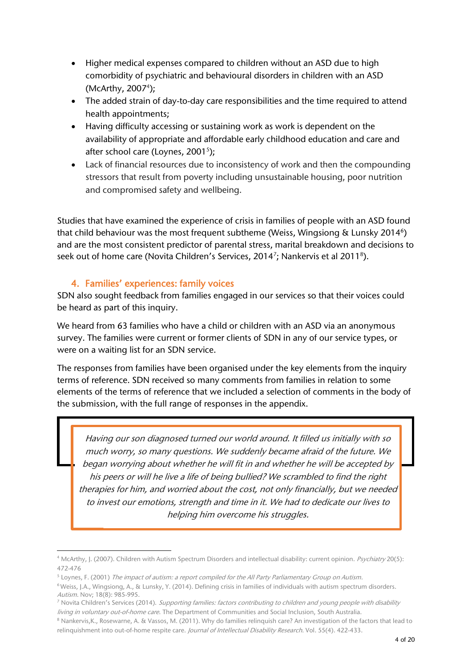- Higher medical expenses compared to children without an ASD due to high comorbidity of psychiatric and behavioural disorders in children with an ASD (McArthy, 2007<sup>4</sup>);
- The added strain of day-to-day care responsibilities and the time required to attend health appointments;
- Having difficulty accessing or sustaining work as work is dependent on the availability of appropriate and affordable early childhood education and care and after school care (Loynes, 2001 $^5$ );
- Lack of financial resources due to inconsistency of work and then the compounding stressors that result from poverty including unsustainable housing, poor nutrition and compromised safety and wellbeing.

Studies that have examined the experience of crisis in families of people with an ASD found that child behaviour was the most frequent subtheme (Weiss, Wingsiong & Lunsky 2014<sup>6</sup>) and are the most consistent predictor of parental stress, marital breakdown and decisions to seek out of home care (Novita Children's Services, 2014<sup>7</sup>; Nankervis et al 2011<sup>8</sup>).

# 4. Families' experiences: family voices

SDN also sought feedback from families engaged in our services so that their voices could be heard as part of this inquiry.

We heard from 63 families who have a child or children with an ASD via an anonymous survey. The families were current or former clients of SDN in any of our service types, or were on a waiting list for an SDN service.

The responses from families have been organised under the key elements from the inquiry terms of reference. SDN received so many comments from families in relation to some elements of the terms of reference that we included a selection of comments in the body of the submission, with the full range of responses in the appendix.

Having our son diagnosed turned our world around. It filled us initially with so much worry, so many questions. We suddenly became afraid of the future. We began worrying about whether he will fit in and whether he will be accepted by his peers or will he live a life of being bullied? We scrambled to find the right therapies for him, and worried about the cost, not only financially, but we needed to invest our emotions, strength and time in it. We had to dedicate our lives to helping him overcome his struggles.

<sup>5</sup> Loynes, F. (2001) *The impact of autism: a report compiled for the All Party Parliamentary Group on Autism*.

<sup>&</sup>lt;sup>4</sup> McArthy, J. (2007). Children with Autism Spectrum Disorders and intellectual disability: current opinion. Psychiatry 20(5): 472-476

<sup>6</sup> Weiss, J.A., Wingsiong, A., & Lunsky, Y. (2014). Defining crisis in families of individuals with autism spectrum disorders. Autism. Nov; 18(8): 985-995.

<sup>&</sup>lt;sup>7</sup> Novita Children's Services (2014). Supporting families: factors contributing to children and young people with disability living in voluntary out-of-home care. The Department of Communities and Social Inclusion, South Australia.

<sup>8</sup> Nankervis, K., Rosewarne, A. & Vassos, M. (2011). Why do families relinquish care? An investigation of the factors that lead to relinquishment into out-of-home respite care. Journal of Intellectual Disability Research. Vol. 55(4). 422-433.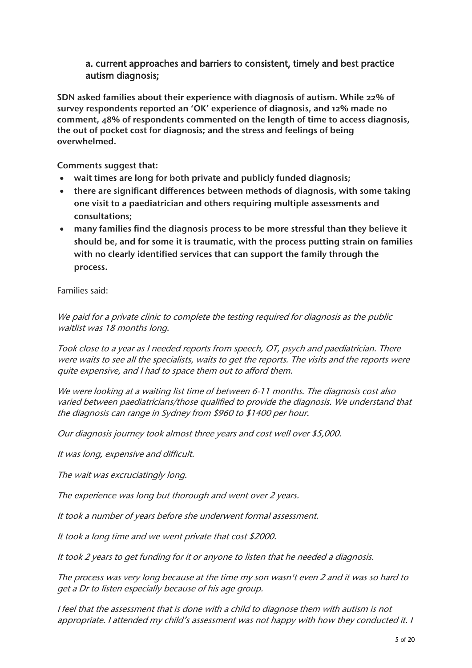#### a. current approaches and barriers to consistent, timely and best practice autism diagnosis;

SDN asked families about their experience with diagnosis of autism. While 22% of survey respondents reported an 'OK' experience of diagnosis, and 12% made no comment, 48% of respondents commented on the length of time to access diagnosis, the out of pocket cost for diagnosis; and the stress and feelings of being overwhelmed.

Comments suggest that:

- wait times are long for both private and publicly funded diagnosis;
- there are significant differences between methods of diagnosis, with some taking one visit to a paediatrician and others requiring multiple assessments and consultations;
- many families find the diagnosis process to be more stressful than they believe it should be, and for some it is traumatic, with the process putting strain on families with no clearly identified services that can support the family through the process.

Families said:

We paid for a private clinic to complete the testing required for diagnosis as the public waitlist was 18 months long.

Took close to a year as I needed reports from speech, OT, psych and paediatrician. There were waits to see all the specialists, waits to get the reports. The visits and the reports were quite expensive, and I had to space them out to afford them.

We were looking at a waiting list time of between 6-11 months. The diagnosis cost also varied between paediatricians/those qualified to provide the diagnosis. We understand that the diagnosis can range in Sydney from \$960 to \$1400 per hour.

Our diagnosis journey took almost three years and cost well over \$5,000.

It was long, expensive and difficult.

The wait was excruciatingly long.

The experience was long but thorough and went over 2 years.

It took a number of years before she underwent formal assessment.

It took a long time and we went private that cost \$2000.

It took 2 years to get funding for it or anyone to listen that he needed a diagnosis.

The process was very long because at the time my son wasn't even 2 and it was so hard to get a Dr to listen especially because of his age group.

I feel that the assessment that is done with a child to diagnose them with autism is not appropriate. I attended my child's assessment was not happy with how they conducted it. I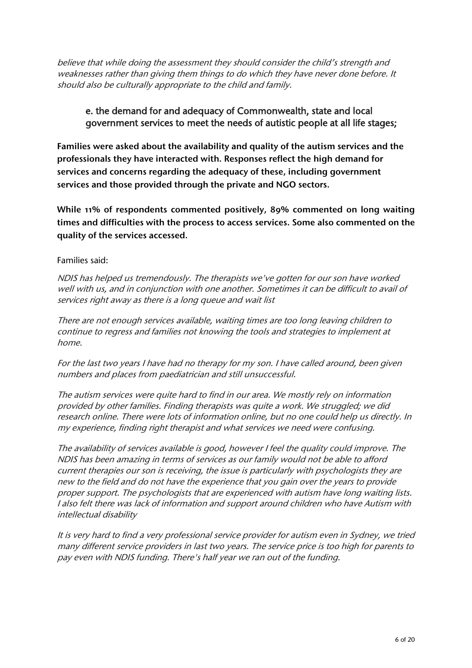believe that while doing the assessment they should consider the child's strength and weaknesses rather than giving them things to do which they have never done before. It should also be culturally appropriate to the child and family.

### e. the demand for and adequacy of Commonwealth, state and local government services to meet the needs of autistic people at all life stages;

Families were asked about the availability and quality of the autism services and the professionals they have interacted with. Responses reflect the high demand for services and concerns regarding the adequacy of these, including government services and those provided through the private and NGO sectors.

While 11% of respondents commented positively, 89% commented on long waiting times and difficulties with the process to access services. Some also commented on the quality of the services accessed.

#### Families said:

NDIS has helped us tremendously. The therapists we've gotten for our son have worked well with us, and in conjunction with one another. Sometimes it can be difficult to avail of services right away as there is a long queue and wait list

There are not enough services available, waiting times are too long leaving children to continue to regress and families not knowing the tools and strategies to implement at home.

For the last two years I have had no therapy for my son. I have called around, been given numbers and places from paediatrician and still unsuccessful.

The autism services were quite hard to find in our area. We mostly rely on information provided by other families. Finding therapists was quite a work. We struggled; we did research online. There were lots of information online, but no one could help us directly. In my experience, finding right therapist and what services we need were confusing.

The availability of services available is good, however I feel the quality could improve. The NDIS has been amazing in terms of services as our family would not be able to afford current therapies our son is receiving, the issue is particularly with psychologists they are new to the field and do not have the experience that you gain over the years to provide proper support. The psychologists that are experienced with autism have long waiting lists. I also felt there was lack of information and support around children who have Autism with intellectual disability

It is very hard to find a very professional service provider for autism even in Sydney, we tried many different service providers in last two years. The service price is too high for parents to pay even with NDIS funding. There's half year we ran out of the funding.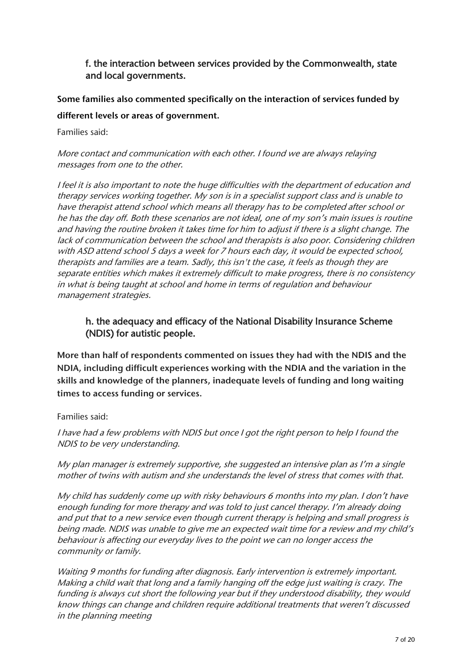## f. the interaction between services provided by the Commonwealth, state and local governments.

# Some families also commented specifically on the interaction of services funded by different levels or areas of government.

Families said:

#### More contact and communication with each other. I found we are always relaying messages from one to the other.

I feel it is also important to note the huge difficulties with the department of education and therapy services working together. My son is in a specialist support class and is unable to have therapist attend school which means all therapy has to be completed after school or he has the day off. Both these scenarios are not ideal, one of my son's main issues is routine and having the routine broken it takes time for him to adjust if there is a slight change. The lack of communication between the school and therapists is also poor. Considering children with ASD attend school 5 days a week for 7 hours each day, it would be expected school, therapists and families are a team. Sadly, this isn't the case, it feels as though they are separate entities which makes it extremely difficult to make progress, there is no consistency in what is being taught at school and home in terms of regulation and behaviour management strategies.

# h. the adequacy and efficacy of the National Disability Insurance Scheme (NDIS) for autistic people.

More than half of respondents commented on issues they had with the NDIS and the NDIA, including difficult experiences working with the NDIA and the variation in the skills and knowledge of the planners, inadequate levels of funding and long waiting times to access funding or services.

#### Families said:

I have had a few problems with NDIS but once I got the right person to help I found the NDIS to be very understanding.

My plan manager is extremely supportive, she suggested an intensive plan as I'm a single mother of twins with autism and she understands the level of stress that comes with that.

My child has suddenly come up with risky behaviours 6 months into my plan. I don't have enough funding for more therapy and was told to just cancel therapy. I'm already doing and put that to a new service even though current therapy is helping and small progress is being made. NDIS was unable to give me an expected wait time for a review and my child's behaviour is affecting our everyday lives to the point we can no longer access the community or family.

Waiting 9 months for funding after diagnosis. Early intervention is extremely important. Making a child wait that long and a family hanging off the edge just waiting is crazy. The funding is always cut short the following year but if they understood disability, they would know things can change and children require additional treatments that weren't discussed in the planning meeting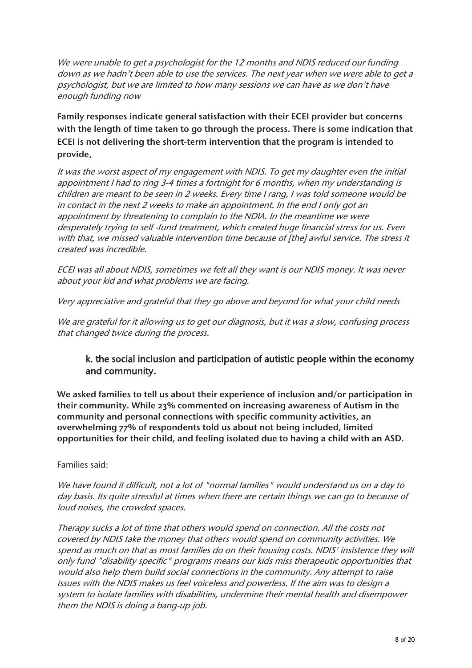We were unable to get a psychologist for the 12 months and NDIS reduced our funding down as we hadn't been able to use the services. The next year when we were able to get a psychologist, but we are limited to how many sessions we can have as we don't have enough funding now

Family responses indicate general satisfaction with their ECEI provider but concerns with the length of time taken to go through the process. There is some indication that ECEI is not delivering the short-term intervention that the program is intended to provide.

It was the worst aspect of my engagement with NDIS. To get my daughter even the initial appointment I had to ring 3-4 times a fortnight for 6 months, when my understanding is children are meant to be seen in 2 weeks. Every time I rang, I was told someone would be in contact in the next 2 weeks to make an appointment. In the end I only got an appointment by threatening to complain to the NDIA. In the meantime we were desperately trying to self -fund treatment, which created huge financial stress for us. Even with that, we missed valuable intervention time because of [the] awful service. The stress it created was incredible.

ECEI was all about NDIS, sometimes we felt all they want is our NDIS money. It was never about your kid and what problems we are facing.

Very appreciative and grateful that they go above and beyond for what your child needs

We are grateful for it allowing us to get our diagnosis, but it was a slow, confusing process that changed twice during the process.

### k. the social inclusion and participation of autistic people within the economy and community.

We asked families to tell us about their experience of inclusion and/or participation in their community. While 23% commented on increasing awareness of Autism in the community and personal connections with specific community activities, an overwhelming 77% of respondents told us about not being included, limited opportunities for their child, and feeling isolated due to having a child with an ASD.

#### Families said:

We have found it difficult, not a lot of "normal families" would understand us on a day to day basis. Its quite stressful at times when there are certain things we can go to because of loud noises, the crowded spaces.

Therapy sucks a lot of time that others would spend on connection. All the costs not covered by NDIS take the money that others would spend on community activities. We spend as much on that as most families do on their housing costs. NDIS' insistence they will only fund "disability specific" programs means our kids miss therapeutic opportunities that would also help them build social connections in the community. Any attempt to raise issues with the NDIS makes us feel voiceless and powerless. If the aim was to design a system to isolate families with disabilities, undermine their mental health and disempower them the NDIS is doing a bang-up job.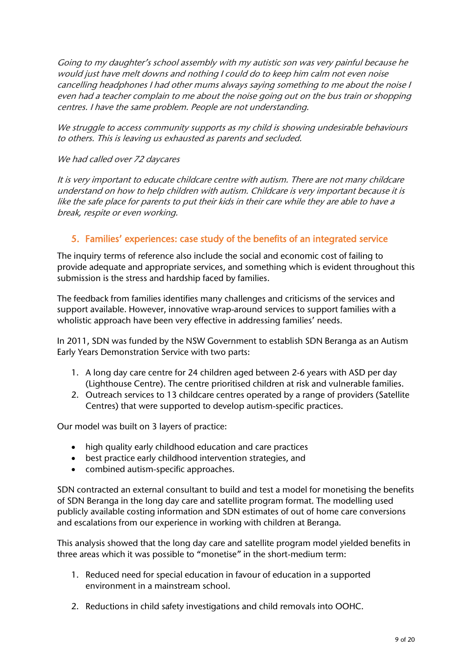Going to my daughter's school assembly with my autistic son was very painful because he would just have melt downs and nothing I could do to keep him calm not even noise cancelling headphones I had other mums always saying something to me about the noise I even had a teacher complain to me about the noise going out on the bus train or shopping centres. I have the same problem. People are not understanding.

We struggle to access community supports as my child is showing undesirable behaviours to others. This is leaving us exhausted as parents and secluded.

#### We had called over 72 daycares

It is very important to educate childcare centre with autism. There are not many childcare understand on how to help children with autism. Childcare is very important because it is like the safe place for parents to put their kids in their care while they are able to have a break, respite or even working.

### 5. Families' experiences: case study of the benefits of an integrated service

The inquiry terms of reference also include the social and economic cost of failing to provide adequate and appropriate services, and something which is evident throughout this submission is the stress and hardship faced by families.

The feedback from families identifies many challenges and criticisms of the services and support available. However, innovative wrap-around services to support families with a wholistic approach have been very effective in addressing families' needs.

In 2011, SDN was funded by the NSW Government to establish SDN Beranga as an Autism Early Years Demonstration Service with two parts:

- 1. A long day care centre for 24 children aged between 2-6 years with ASD per day (Lighthouse Centre). The centre prioritised children at risk and vulnerable families.
- 2. Outreach services to 13 childcare centres operated by a range of providers (Satellite Centres) that were supported to develop autism-specific practices.

Our model was built on 3 layers of practice:

- high quality early childhood education and care practices
- best practice early childhood intervention strategies, and
- combined autism-specific approaches.

SDN contracted an external consultant to build and test a model for monetising the benefits of SDN Beranga in the long day care and satellite program format. The modelling used publicly available costing information and SDN estimates of out of home care conversions and escalations from our experience in working with children at Beranga.

This analysis showed that the long day care and satellite program model yielded benefits in three areas which it was possible to "monetise" in the short-medium term:

- 1. Reduced need for special education in favour of education in a supported environment in a mainstream school.
- 2. Reductions in child safety investigations and child removals into OOHC.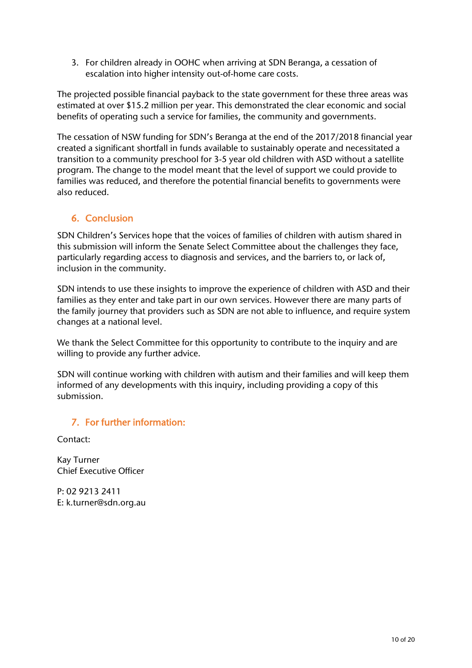3. For children already in OOHC when arriving at SDN Beranga, a cessation of escalation into higher intensity out-of-home care costs.

The projected possible financial payback to the state government for these three areas was estimated at over \$15.2 million per year. This demonstrated the clear economic and social benefits of operating such a service for families, the community and governments.

The cessation of NSW funding for SDN's Beranga at the end of the 2017/2018 financial year created a significant shortfall in funds available to sustainably operate and necessitated a transition to a community preschool for 3-5 year old children with ASD without a satellite program. The change to the model meant that the level of support we could provide to families was reduced, and therefore the potential financial benefits to governments were also reduced.

# 6. Conclusion

SDN Children's Services hope that the voices of families of children with autism shared in this submission will inform the Senate Select Committee about the challenges they face, particularly regarding access to diagnosis and services, and the barriers to, or lack of, inclusion in the community.

SDN intends to use these insights to improve the experience of children with ASD and their families as they enter and take part in our own services. However there are many parts of the family journey that providers such as SDN are not able to influence, and require system changes at a national level.

We thank the Select Committee for this opportunity to contribute to the inquiry and are willing to provide any further advice.

SDN will continue working with children with autism and their families and will keep them informed of any developments with this inquiry, including providing a copy of this submission.

### 7. For further information:

Contact:

Kay Turner Chief Executive Officer

P: 02 9213 2411 E: k.turner@sdn.org.au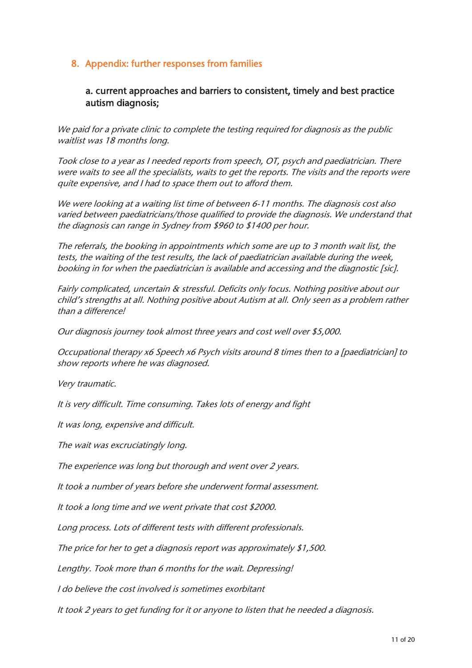### 8. Appendix: further responses from families

#### a. current approaches and barriers to consistent, timely and best practice autism diagnosis;

We paid for a private clinic to complete the testing required for diagnosis as the public waitlist was 18 months long.

Took close to a year as I needed reports from speech, OT, psych and paediatrician. There were waits to see all the specialists, waits to get the reports. The visits and the reports were quite expensive, and I had to space them out to afford them.

We were looking at a waiting list time of between 6-11 months. The diagnosis cost also varied between paediatricians/those qualified to provide the diagnosis. We understand that the diagnosis can range in Sydney from \$960 to \$1400 per hour.

The referrals, the booking in appointments which some are up to 3 month wait list, the tests, the waiting of the test results, the lack of paediatrician available during the week, booking in for when the paediatrician is available and accessing and the diagnostic [sic].

Fairly complicated, uncertain & stressful. Deficits only focus. Nothing positive about our child's strengths at all. Nothing positive about Autism at all. Only seen as a problem rather than a difference!

Our diagnosis journey took almost three years and cost well over \$5,000.

Occupational therapy x6 Speech x6 Psych visits around 8 times then to a [paediatrician] to show reports where he was diagnosed.

Very traumatic.

It is very difficult. Time consuming. Takes lots of energy and fight

It was long, expensive and difficult.

The wait was excruciatingly long.

The experience was long but thorough and went over 2 years.

It took a number of years before she underwent formal assessment.

It took a long time and we went private that cost \$2000.

Long process. Lots of different tests with different professionals.

The price for her to get a diagnosis report was approximately \$1,500.

Lengthy. Took more than 6 months for the wait. Depressing!

I do believe the cost involved is sometimes exorbitant

It took 2 years to get funding for it or anyone to listen that he needed a diagnosis.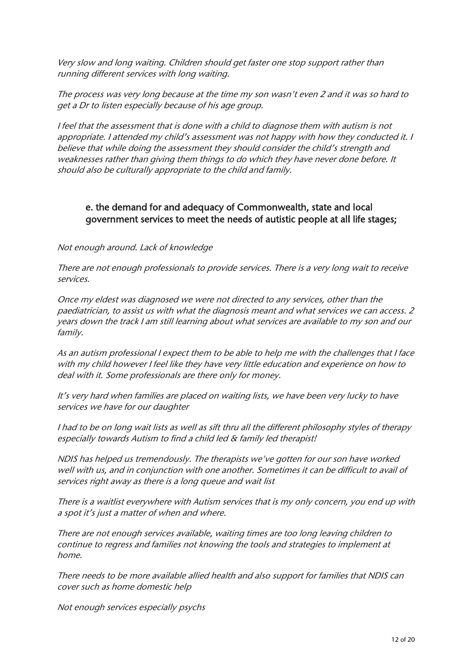Very slow and long waiting. Children should get faster one stop support rather than running different services with long waiting.

The process was very long because at the time my son wasn't even 2 and it was so hard to get a Dr to listen especially because of his age group.

I feel that the assessment that is done with a child to diagnose them with autism is not appropriate. I attended my child's assessment was not happy with how they conducted it. I believe that while doing the assessment they should consider the child's strength and weaknesses rather than giving them things to do which they have never done before. It should also be culturally appropriate to the child and family.

#### e. the demand for and adequacy of Commonwealth, state and local government services to meet the needs of autistic people at all life stages;

Not enough around. Lack of knowledge

There are not enough professionals to provide services. There is a very long wait to receive services.

Once my eldest was diagnosed we were not directed to any services, other than the paediatrician, to assist us with what the diagnosis meant and what services we can access. 2 years down the track I am still learning about what services are available to my son and our family.

As an autism professional I expect them to be able to help me with the challenges that I face with my child however I feel like they have very little education and experience on how to deal with it. Some professionals are there only for money.

It's very hard when families are placed on waiting lists, we have been very lucky to have services we have for our daughter

I had to be on long wait lists as well as sift thru all the different philosophy styles of therapy especially towards Autism to find a child led & family led therapist!

NDIS has helped us tremendously. The therapists we've gotten for our son have worked well with us, and in conjunction with one another. Sometimes it can be difficult to avail of services right away as there is a long queue and wait list

There is a waitlist everywhere with Autism services that is my only concern, you end up with a spot it's just a matter of when and where.

There are not enough services available, waiting times are too long leaving children to continue to regress and families not knowing the tools and strategies to implement at home.

There needs to be more available allied health and also support for families that NDIS can cover such as home domestic help

Not enough services especially psychs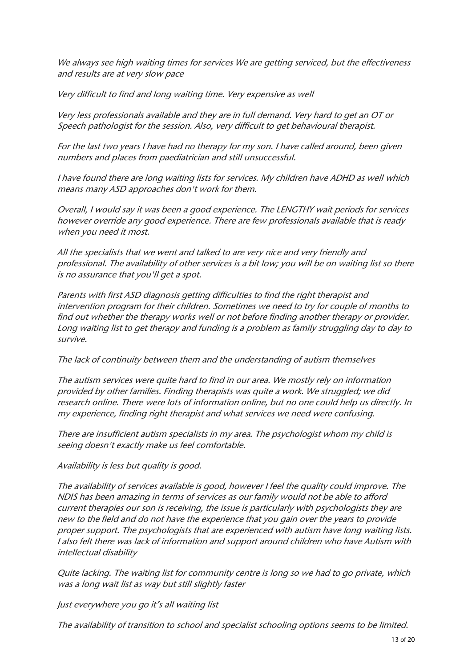We always see high waiting times for services We are getting serviced, but the effectiveness and results are at very slow pace

Very difficult to find and long waiting time. Very expensive as well

Very less professionals available and they are in full demand. Very hard to get an OT or Speech pathologist for the session. Also, very difficult to get behavioural therapist.

For the last two years I have had no therapy for my son. I have called around, been given numbers and places from paediatrician and still unsuccessful.

I have found there are long waiting lists for services. My children have ADHD as well which means many ASD approaches don't work for them.

Overall, I would say it was been a good experience. The LENGTHY wait periods for services however override any good experience. There are few professionals available that is ready when you need it most.

All the specialists that we went and talked to are very nice and very friendly and professional. The availability of other services is a bit low; you will be on waiting list so there is no assurance that you'll get a spot.

Parents with first ASD diagnosis getting difficulties to find the right therapist and intervention program for their children. Sometimes we need to try for couple of months to find out whether the therapy works well or not before finding another therapy or provider. Long waiting list to get therapy and funding is a problem as family struggling day to day to survive.

The lack of continuity between them and the understanding of autism themselves

The autism services were quite hard to find in our area. We mostly rely on information provided by other families. Finding therapists was quite a work. We struggled; we did research online. There were lots of information online, but no one could help us directly. In my experience, finding right therapist and what services we need were confusing.

There are insufficient autism specialists in my area. The psychologist whom my child is seeing doesn't exactly make us feel comfortable.

Availability is less but quality is good.

The availability of services available is good, however I feel the quality could improve. The NDIS has been amazing in terms of services as our family would not be able to afford current therapies our son is receiving, the issue is particularly with psychologists they are new to the field and do not have the experience that you gain over the years to provide proper support. The psychologists that are experienced with autism have long waiting lists. I also felt there was lack of information and support around children who have Autism with intellectual disability

Quite lacking. The waiting list for community centre is long so we had to go private, which was a long wait list as way but still slightly faster

Just everywhere you go it's all waiting list

The availability of transition to school and specialist schooling options seems to be limited.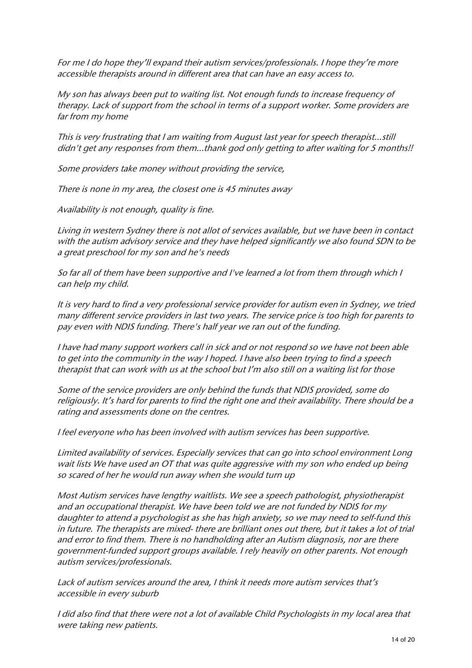For me I do hope they'll expand their autism services/professionals. I hope they're more accessible therapists around in different area that can have an easy access to.

My son has always been put to waiting list. Not enough funds to increase frequency of therapy. Lack of support from the school in terms of a support worker. Some providers are far from my home

This is very frustrating that I am waiting from August last year for speech therapist...still didn't get any responses from them...thank god only getting to after waiting for 5 months!!

Some providers take money without providing the service,

There is none in my area, the closest one is 45 minutes away

Availability is not enough, quality is fine.

Living in western Sydney there is not allot of services available, but we have been in contact with the autism advisory service and they have helped significantly we also found SDN to be a great preschool for my son and he's needs

So far all of them have been supportive and I've learned a lot from them through which I can help my child.

It is very hard to find a very professional service provider for autism even in Sydney, we tried many different service providers in last two years. The service price is too high for parents to pay even with NDIS funding. There's half year we ran out of the funding.

I have had many support workers call in sick and or not respond so we have not been able to get into the community in the way I hoped. I have also been trying to find a speech therapist that can work with us at the school but I'm also still on a waiting list for those

Some of the service providers are only behind the funds that NDIS provided, some do religiously. It's hard for parents to find the right one and their availability. There should be a rating and assessments done on the centres.

I feel everyone who has been involved with autism services has been supportive.

Limited availability of services. Especially services that can go into school environment Long wait lists We have used an OT that was quite aggressive with my son who ended up being so scared of her he would run away when she would turn up

Most Autism services have lengthy waitlists. We see a speech pathologist, physiotherapist and an occupational therapist. We have been told we are not funded by NDIS for my daughter to attend a psychologist as she has high anxiety, so we may need to self-fund this in future. The therapists are mixed- there are brilliant ones out there, but it takes a lot of trial and error to find them. There is no handholding after an Autism diagnosis, nor are there government-funded support groups available. I rely heavily on other parents. Not enough autism services/professionals.

Lack of autism services around the area, I think it needs more autism services that's accessible in every suburb

I did also find that there were not a lot of available Child Psychologists in my local area that were taking new patients.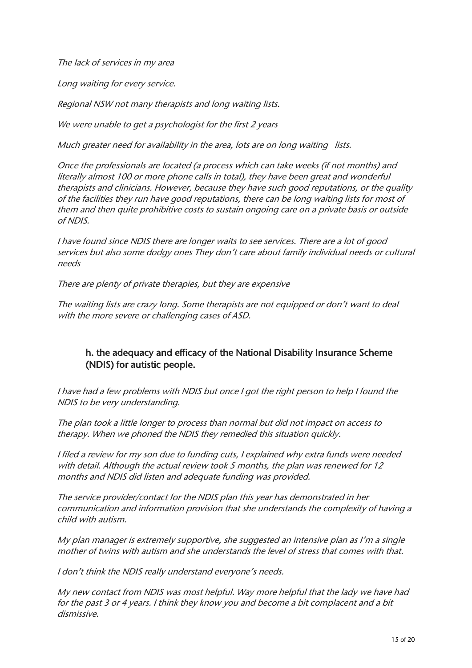The lack of services in my area

Long waiting for every service.

Regional NSW not many therapists and long waiting lists.

We were unable to get a psychologist for the first 2 years

Much greater need for availability in the area, lots are on long waiting lists.

Once the professionals are located (a process which can take weeks (if not months) and literally almost 100 or more phone calls in total), they have been great and wonderful therapists and clinicians. However, because they have such good reputations, or the quality of the facilities they run have good reputations, there can be long waiting lists for most of them and then quite prohibitive costs to sustain ongoing care on a private basis or outside of NDIS.

I have found since NDIS there are longer waits to see services. There are a lot of good services but also some dodgy ones They don't care about family individual needs or cultural needs

There are plenty of private therapies, but they are expensive

The waiting lists are crazy long. Some therapists are not equipped or don't want to deal with the more severe or challenging cases of ASD.

# h. the adequacy and efficacy of the National Disability Insurance Scheme (NDIS) for autistic people.

I have had a few problems with NDIS but once I got the right person to help I found the NDIS to be very understanding.

The plan took a little longer to process than normal but did not impact on access to therapy. When we phoned the NDIS they remedied this situation quickly.

I filed a review for my son due to funding cuts, I explained why extra funds were needed with detail. Although the actual review took 5 months, the plan was renewed for 12 months and NDIS did listen and adequate funding was provided.

The service provider/contact for the NDIS plan this year has demonstrated in her communication and information provision that she understands the complexity of having a child with autism.

My plan manager is extremely supportive, she suggested an intensive plan as I'm a single mother of twins with autism and she understands the level of stress that comes with that.

I don't think the NDIS really understand everyone's needs.

My new contact from NDIS was most helpful. Way more helpful that the lady we have had for the past 3 or 4 years. I think they know you and become a bit complacent and a bit dismissive.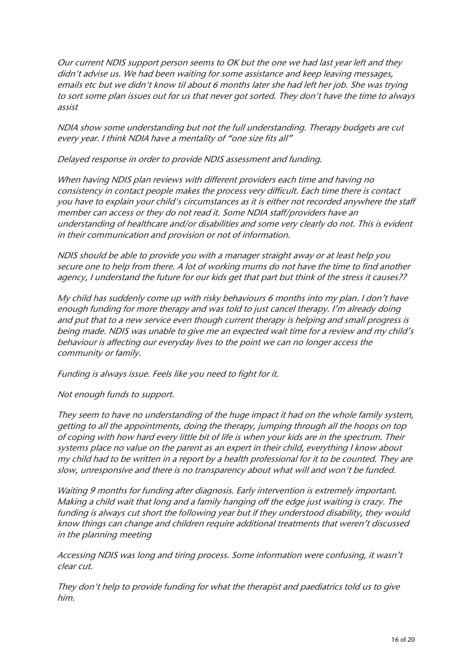Our current NDIS support person seems to OK but the one we had last year left and they didn't advise us. We had been waiting for some assistance and keep leaving messages, emails etc but we didn't know til about 6 months later she had left her job. She was trying to sort some plan issues out for us that never got sorted. They don't have the time to always assist

NDIA show some understanding but not the full understanding. Therapy budgets are cut every year. I think NDIA have a mentality of "one size fits all"

Delayed response in order to provide NDIS assessment and funding.

When having NDIS plan reviews with different providers each time and having no consistency in contact people makes the process very difficult. Each time there is contact you have to explain your child's circumstances as it is either not recorded anywhere the staff member can access or they do not read it. Some NDIA staff/providers have an understanding of healthcare and/or disabilities and some very clearly do not. This is evident in their communication and provision or not of information.

NDIS should be able to provide you with a manager straight away or at least help you secure one to help from there. A lot of working mums do not have the time to find another agency, I understand the future for our kids get that part but think of the stress it causes??

My child has suddenly come up with risky behaviours 6 months into my plan. I don't have enough funding for more therapy and was told to just cancel therapy. I'm already doing and put that to a new service even though current therapy is helping and small progress is being made. NDIS was unable to give me an expected wait time for a review and my child's behaviour is affecting our everyday lives to the point we can no longer access the community or family.

Funding is always issue. Feels like you need to fight for it.

Not enough funds to support.

They seem to have no understanding of the huge impact it had on the whole family system, getting to all the appointments, doing the therapy, jumping through all the hoops on top of coping with how hard every little bit of life is when your kids are in the spectrum. Their systems place no value on the parent as an expert in their child, everything I know about my child had to be written in a report by a health professional for it to be counted. They are slow, unresponsive and there is no transparency about what will and won't be funded.

Waiting 9 months for funding after diagnosis. Early intervention is extremely important. Making a child wait that long and a family hanging off the edge just waiting is crazy. The funding is always cut short the following year but if they understood disability, they would know things can change and children require additional treatments that weren't discussed in the planning meeting

Accessing NDIS was long and tiring process. Some information were confusing, it wasn't clear cut.

They don't help to provide funding for what the therapist and paediatrics told us to give him.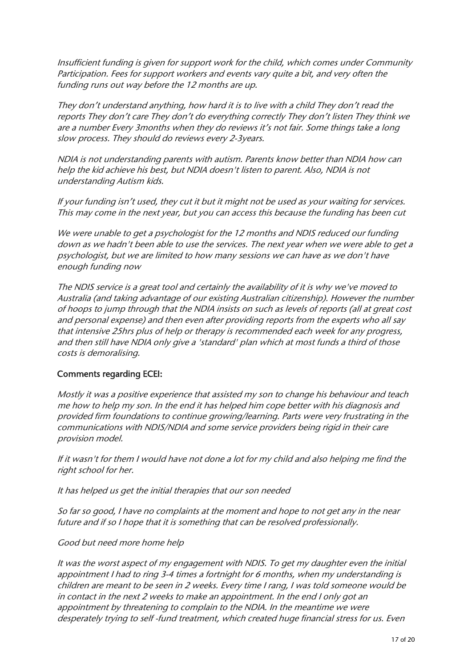Insufficient funding is given for support work for the child, which comes under Community Participation. Fees for support workers and events vary quite a bit, and very often the funding runs out way before the 12 months are up.

They don't understand anything, how hard it is to live with a child They don't read the reports They don't care They don't do everything correctly They don't listen They think we are a number Every 3months when they do reviews it's not fair. Some things take a long slow process. They should do reviews every 2-3years.

NDIA is not understanding parents with autism. Parents know better than NDIA how can help the kid achieve his best, but NDIA doesn't listen to parent. Also, NDIA is not understanding Autism kids.

If your funding isn't used, they cut it but it might not be used as your waiting for services. This may come in the next year, but you can access this because the funding has been cut

We were unable to get a psychologist for the 12 months and NDIS reduced our funding down as we hadn't been able to use the services. The next year when we were able to get a psychologist, but we are limited to how many sessions we can have as we don't have enough funding now

The NDIS service is a great tool and certainly the availability of it is why we've moved to Australia (and taking advantage of our existing Australian citizenship). However the number of hoops to jump through that the NDIA insists on such as levels of reports (all at great cost and personal expense) and then even after providing reports from the experts who all say that intensive 25hrs plus of help or therapy is recommended each week for any progress, and then still have NDIA only give a 'standard' plan which at most funds a third of those costs is demoralising.

#### Comments regarding ECEI:

Mostly it was a positive experience that assisted my son to change his behaviour and teach me how to help my son. In the end it has helped him cope better with his diagnosis and provided firm foundations to continue growing/learning. Parts were very frustrating in the communications with NDIS/NDIA and some service providers being rigid in their care provision model.

If it wasn't for them I would have not done a lot for my child and also helping me find the right school for her.

It has helped us get the initial therapies that our son needed

So far so good, I have no complaints at the moment and hope to not get any in the near future and if so I hope that it is something that can be resolved professionally.

#### Good but need more home help

It was the worst aspect of my engagement with NDIS. To get my daughter even the initial appointment I had to ring 3-4 times a fortnight for 6 months, when my understanding is children are meant to be seen in 2 weeks. Every time I rang, I was told someone would be in contact in the next 2 weeks to make an appointment. In the end I only got an appointment by threatening to complain to the NDIA. In the meantime we were desperately trying to self -fund treatment, which created huge financial stress for us. Even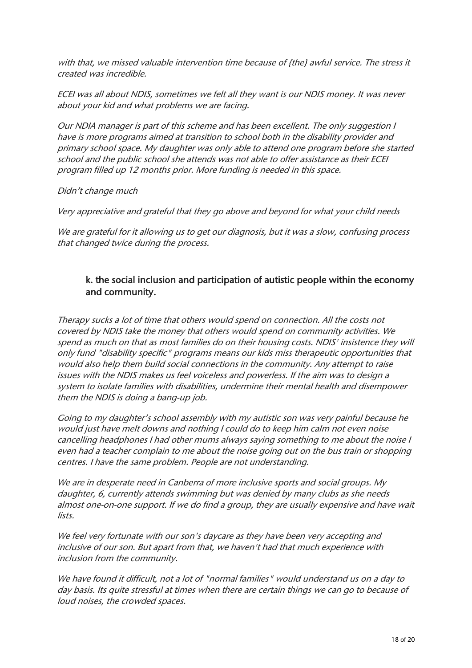with that, we missed valuable intervention time because of {the} awful service. The stress it created was incredible.

ECEI was all about NDIS, sometimes we felt all they want is our NDIS money. It was never about your kid and what problems we are facing.

Our NDIA manager is part of this scheme and has been excellent. The only suggestion I have is more programs aimed at transition to school both in the disability provider and primary school space. My daughter was only able to attend one program before she started school and the public school she attends was not able to offer assistance as their ECEI program filled up 12 months prior. More funding is needed in this space.

Didn't change much

Very appreciative and grateful that they go above and beyond for what your child needs

We are grateful for it allowing us to get our diagnosis, but it was a slow, confusing process that changed twice during the process.

### k. the social inclusion and participation of autistic people within the economy and community.

Therapy sucks a lot of time that others would spend on connection. All the costs not covered by NDIS take the money that others would spend on community activities. We spend as much on that as most families do on their housing costs. NDIS' insistence they will only fund "disability specific" programs means our kids miss therapeutic opportunities that would also help them build social connections in the community. Any attempt to raise issues with the NDIS makes us feel voiceless and powerless. If the aim was to design a system to isolate families with disabilities, undermine their mental health and disempower them the NDIS is doing a bang-up job.

Going to my daughter's school assembly with my autistic son was very painful because he would just have melt downs and nothing I could do to keep him calm not even noise cancelling headphones I had other mums always saying something to me about the noise I even had a teacher complain to me about the noise going out on the bus train or shopping centres. I have the same problem. People are not understanding.

We are in desperate need in Canberra of more inclusive sports and social groups. My daughter, 6, currently attends swimming but was denied by many clubs as she needs almost one-on-one support. If we do find a group, they are usually expensive and have wait lists.

We feel very fortunate with our son's daycare as they have been very accepting and inclusive of our son. But apart from that, we haven't had that much experience with inclusion from the community.

We have found it difficult, not a lot of "normal families" would understand us on a day to day basis. Its quite stressful at times when there are certain things we can go to because of loud noises, the crowded spaces.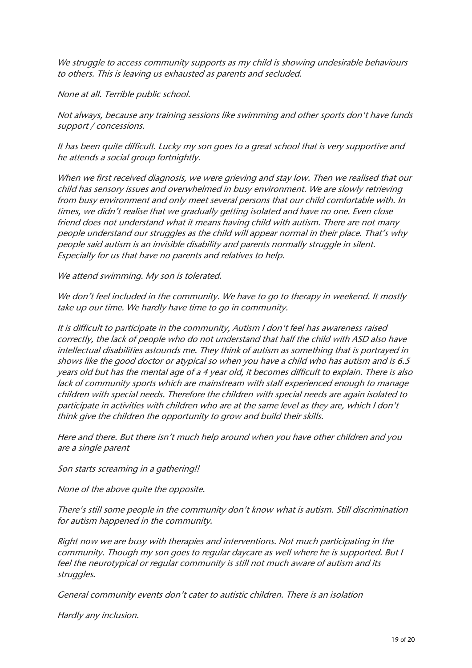We struggle to access community supports as my child is showing undesirable behaviours to others. This is leaving us exhausted as parents and secluded.

None at all. Terrible public school.

Not always, because any training sessions like swimming and other sports don't have funds support / concessions.

It has been quite difficult. Lucky my son goes to a great school that is very supportive and he attends a social group fortnightly.

When we first received diagnosis, we were grieving and stay low. Then we realised that our child has sensory issues and overwhelmed in busy environment. We are slowly retrieving from busy environment and only meet several persons that our child comfortable with. In times, we didn't realise that we gradually getting isolated and have no one. Even close friend does not understand what it means having child with autism. There are not many people understand our struggles as the child will appear normal in their place. That's why people said autism is an invisible disability and parents normally struggle in silent. Especially for us that have no parents and relatives to help.

We attend swimming. My son is tolerated.

We don't feel included in the community. We have to go to therapy in weekend. It mostly take up our time. We hardly have time to go in community.

It is difficult to participate in the community, Autism I don't feel has awareness raised correctly, the lack of people who do not understand that half the child with ASD also have intellectual disabilities astounds me. They think of autism as something that is portrayed in shows like the good doctor or atypical so when you have a child who has autism and is 6.5 years old but has the mental age of a 4 year old, it becomes difficult to explain. There is also lack of community sports which are mainstream with staff experienced enough to manage children with special needs. Therefore the children with special needs are again isolated to participate in activities with children who are at the same level as they are, which I don't think give the children the opportunity to grow and build their skills.

Here and there. But there isn't much help around when you have other children and you are a single parent

Son starts screaming in a gathering!!

None of the above quite the opposite.

There's still some people in the community don't know what is autism. Still discrimination for autism happened in the community.

Right now we are busy with therapies and interventions. Not much participating in the community. Though my son goes to regular daycare as well where he is supported. But I feel the neurotypical or regular community is still not much aware of autism and its struggles.

General community events don't cater to autistic children. There is an isolation

Hardly any inclusion.